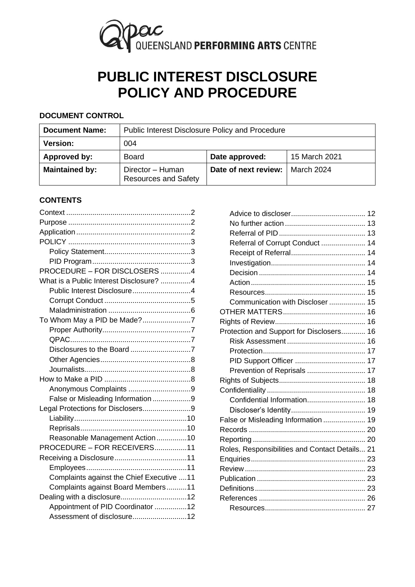

# **PUBLIC INTEREST DISCLOSURE POLICY AND PROCEDURE**

## **DOCUMENT CONTROL**

| <b>Document Name:</b> | Public Interest Disclosure Policy and Procedure |                      |               |
|-----------------------|-------------------------------------------------|----------------------|---------------|
| <b>Version:</b>       | 004                                             |                      |               |
| Approved by:          | Board                                           | Date approved:       | 15 March 2021 |
| <b>Maintained by:</b> | Director - Human<br><b>Resources and Safety</b> | Date of next review: | March 2024    |

# **CONTENTS**

| PROCEDURE - FOR DISCLOSERS 4              |  |
|-------------------------------------------|--|
| What is a Public Interest Disclosure? 4   |  |
| Public Interest Disclosure4               |  |
|                                           |  |
|                                           |  |
| To Whom May a PID be Made?7               |  |
|                                           |  |
|                                           |  |
|                                           |  |
|                                           |  |
|                                           |  |
|                                           |  |
|                                           |  |
| False or Misleading Information 9         |  |
| Legal Protections for Disclosers9         |  |
|                                           |  |
|                                           |  |
| Reasonable Management Action10            |  |
| PROCEDURE - FOR RECEIVERS11               |  |
|                                           |  |
|                                           |  |
| Complaints against the Chief Executive 11 |  |
| Complaints against Board Members11        |  |
|                                           |  |
| Appointment of PID Coordinator 12         |  |
| Assessment of disclosure12                |  |

| Referral of Corrupt Conduct  14                |  |
|------------------------------------------------|--|
|                                                |  |
|                                                |  |
|                                                |  |
|                                                |  |
|                                                |  |
| Communication with Discloser  15               |  |
|                                                |  |
|                                                |  |
| Protection and Support for Disclosers 16       |  |
|                                                |  |
|                                                |  |
|                                                |  |
| Prevention of Reprisals  17                    |  |
|                                                |  |
|                                                |  |
| Confidential Information 18                    |  |
|                                                |  |
| False or Misleading Information  19            |  |
|                                                |  |
|                                                |  |
| Roles, Responsibilities and Contact Details 21 |  |
|                                                |  |
|                                                |  |
|                                                |  |
|                                                |  |
|                                                |  |
|                                                |  |
|                                                |  |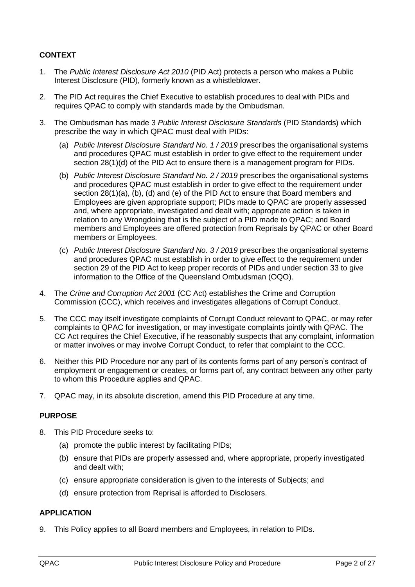# <span id="page-1-0"></span>**CONTEXT**

- 1. The *Public Interest Disclosure Act 2010* (PID Act) protects a person who makes a Public Interest Disclosure (PID), formerly known as a whistleblower.
- 2. The PID Act requires the Chief Executive to establish procedures to deal with PIDs and requires QPAC to comply with standards made by the Ombudsman.
- 3. The Ombudsman has made 3 *Public Interest Disclosure Standards* (PID Standards) which prescribe the way in which QPAC must deal with PIDs:
	- (a) *Public Interest Disclosure Standard No. 1 / 2019* prescribes the organisational systems and procedures QPAC must establish in order to give effect to the requirement under section 28(1)(d) of the PID Act to ensure there is a management program for PIDs.
	- (b) *Public Interest Disclosure Standard No. 2 / 2019* prescribes the organisational systems and procedures QPAC must establish in order to give effect to the requirement under section 28(1)(a), (b), (d) and (e) of the PID Act to ensure that Board members and Employees are given appropriate support; PIDs made to QPAC are properly assessed and, where appropriate, investigated and dealt with; appropriate action is taken in relation to any Wrongdoing that is the subject of a PID made to QPAC; and Board members and Employees are offered protection from Reprisals by QPAC or other Board members or Employees.
	- (c) *Public Interest Disclosure Standard No. 3 / 2019* prescribes the organisational systems and procedures QPAC must establish in order to give effect to the requirement under section 29 of the PID Act to keep proper records of PIDs and under section 33 to give information to the Office of the Queensland Ombudsman (OQO).
- 4. The *Crime and Corruption Act 2001* (CC Act) establishes the Crime and Corruption Commission (CCC), which receives and investigates allegations of Corrupt Conduct.
- 5. The CCC may itself investigate complaints of Corrupt Conduct relevant to QPAC, or may refer complaints to QPAC for investigation, or may investigate complaints jointly with QPAC. The CC Act requires the Chief Executive, if he reasonably suspects that any complaint, information or matter involves or may involve Corrupt Conduct, to refer that complaint to the CCC.
- 6. Neither this PID Procedure nor any part of its contents forms part of any person's contract of employment or engagement or creates, or forms part of, any contract between any other party to whom this Procedure applies and QPAC.
- <span id="page-1-1"></span>7. QPAC may, in its absolute discretion, amend this PID Procedure at any time.

## **PURPOSE**

- 8. This PID Procedure seeks to:
	- (a) promote the public interest by facilitating PIDs;
	- (b) ensure that PIDs are properly assessed and, where appropriate, properly investigated and dealt with;
	- (c) ensure appropriate consideration is given to the interests of Subjects; and
	- (d) ensure protection from Reprisal is afforded to Disclosers.

## <span id="page-1-2"></span>**APPLICATION**

9. This Policy applies to all Board members and Employees, in relation to PIDs.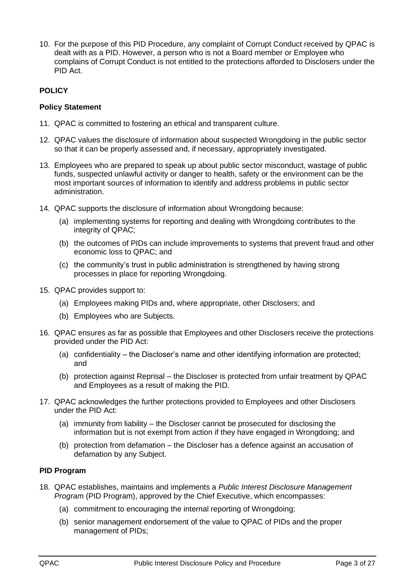10. For the purpose of this PID Procedure, any complaint of Corrupt Conduct received by QPAC is dealt with as a PID. However, a person who is not a Board member or Employee who complains of Corrupt Conduct is not entitled to the protections afforded to Disclosers under the PID Act.

# <span id="page-2-0"></span>**POLICY**

## <span id="page-2-1"></span>**Policy Statement**

- 11. QPAC is committed to fostering an ethical and transparent culture.
- 12. QPAC values the disclosure of information about suspected Wrongdoing in the public sector so that it can be properly assessed and, if necessary, appropriately investigated.
- 13. Employees who are prepared to speak up about public sector misconduct, wastage of public funds, suspected unlawful activity or danger to health, safety or the environment can be the most important sources of information to identify and address problems in public sector administration.
- 14. QPAC supports the disclosure of information about Wrongdoing because:
	- (a) implementing systems for reporting and dealing with Wrongdoing contributes to the integrity of QPAC;
	- (b) the outcomes of PIDs can include improvements to systems that prevent fraud and other economic loss to QPAC; and
	- (c) the community's trust in public administration is strengthened by having strong processes in place for reporting Wrongdoing.
- 15. QPAC provides support to:
	- (a) Employees making PIDs and, where appropriate, other Disclosers; and
	- (b) Employees who are Subjects.
- 16. QPAC ensures as far as possible that Employees and other Disclosers receive the protections provided under the PID Act:
	- (a) confidentiality the Discloser's name and other identifying information are protected; and
	- (b) protection against Reprisal the Discloser is protected from unfair treatment by QPAC and Employees as a result of making the PID.
- 17. QPAC acknowledges the further protections provided to Employees and other Disclosers under the PID Act:
	- (a) immunity from liability the Discloser cannot be prosecuted for disclosing the information but is not exempt from action if they have engaged in Wrongdoing; and
	- (b) protection from defamation the Discloser has a defence against an accusation of defamation by any Subject.

## <span id="page-2-2"></span>**PID Program**

- 18. QPAC establishes, maintains and implements a *Public Interest Disclosure Management Program* (PID Program), approved by the Chief Executive, which encompasses:
	- (a) commitment to encouraging the internal reporting of Wrongdoing;
	- (b) senior management endorsement of the value to QPAC of PIDs and the proper management of PIDs;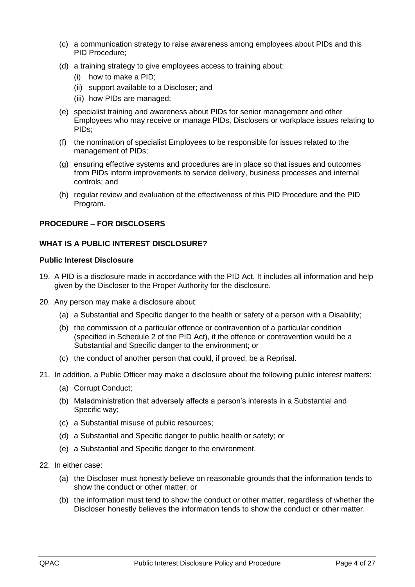- (c) a communication strategy to raise awareness among employees about PIDs and this PID Procedure;
- (d) a training strategy to give employees access to training about:
	- (i) how to make a PID;
	- (ii) support available to a Discloser; and
	- (iii) how PIDs are managed;
- (e) specialist training and awareness about PIDs for senior management and other Employees who may receive or manage PIDs, Disclosers or workplace issues relating to PIDs;
- (f) the nomination of specialist Employees to be responsible for issues related to the management of PIDs;
- (g) ensuring effective systems and procedures are in place so that issues and outcomes from PIDs inform improvements to service delivery, business processes and internal controls; and
- (h) regular review and evaluation of the effectiveness of this PID Procedure and the PID Program.

## <span id="page-3-1"></span><span id="page-3-0"></span>**PROCEDURE – FOR DISCLOSERS**

## **WHAT IS A PUBLIC INTEREST DISCLOSURE?**

## <span id="page-3-2"></span>**Public Interest Disclosure**

- <span id="page-3-3"></span>19. A PID is a disclosure made in accordance with the PID Act. It includes all information and help given by the Discloser to the Proper Authority for the disclosure.
- <span id="page-3-4"></span>20. Any person may make a disclosure about:
	- (a) a Substantial and Specific danger to the health or safety of a person with a Disability;
	- (b) the commission of a particular offence or contravention of a particular condition (specified in Schedule 2 of the PID Act), if the offence or contravention would be a Substantial and Specific danger to the environment; or
	- (c) the conduct of another person that could, if proved, be a Reprisal.
- <span id="page-3-5"></span>21. In addition, a Public Officer may make a disclosure about the following public interest matters:
	- (a) Corrupt Conduct;
	- (b) Maladministration that adversely affects a person's interests in a Substantial and Specific way;
	- (c) a Substantial misuse of public resources;
	- (d) a Substantial and Specific danger to public health or safety; or
	- (e) a Substantial and Specific danger to the environment.
- 22. In either case:
	- (a) the Discloser must honestly believe on reasonable grounds that the information tends to show the conduct or other matter; or
	- (b) the information must tend to show the conduct or other matter, regardless of whether the Discloser honestly believes the information tends to show the conduct or other matter.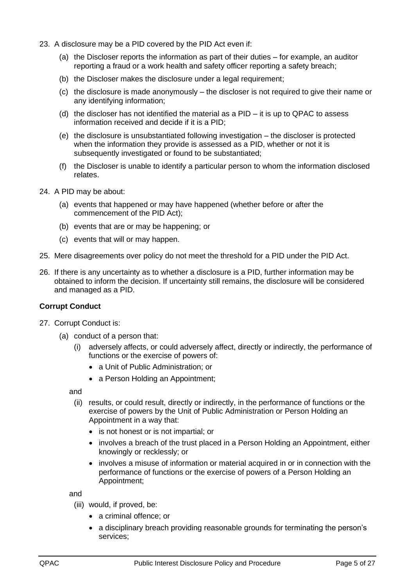- 23. A disclosure may be a PID covered by the PID Act even if:
	- (a) the Discloser reports the information as part of their duties for example, an auditor reporting a fraud or a work health and safety officer reporting a safety breach;
	- (b) the Discloser makes the disclosure under a legal requirement;
	- (c) the disclosure is made anonymously the discloser is not required to give their name or any identifying information;
	- (d) the discloser has not identified the material as a PID it is up to QPAC to assess information received and decide if it is a PID;
	- (e) the disclosure is unsubstantiated following investigation the discloser is protected when the information they provide is assessed as a PID, whether or not it is subsequently investigated or found to be substantiated;
	- (f) the Discloser is unable to identify a particular person to whom the information disclosed relates.
- 24. A PID may be about:
	- (a) events that happened or may have happened (whether before or after the commencement of the PID Act);
	- (b) events that are or may be happening; or
	- (c) events that will or may happen.
- 25. Mere disagreements over policy do not meet the threshold for a PID under the PID Act.
- <span id="page-4-2"></span>26. If there is any uncertainty as to whether a disclosure is a PID, further information may be obtained to inform the decision. If uncertainty still remains, the disclosure will be considered and managed as a PID.

## <span id="page-4-0"></span>**Corrupt Conduct**

- <span id="page-4-1"></span>27. Corrupt Conduct is:
	- (a) conduct of a person that:
		- (i) adversely affects, or could adversely affect, directly or indirectly, the performance of functions or the exercise of powers of:
			- a Unit of Public Administration; or
			- a Person Holding an Appointment;

and

- (ii) results, or could result, directly or indirectly, in the performance of functions or the exercise of powers by the Unit of Public Administration or Person Holding an Appointment in a way that:
	- is not honest or is not impartial; or
	- involves a breach of the trust placed in a Person Holding an Appointment, either knowingly or recklessly; or
	- involves a misuse of information or material acquired in or in connection with the performance of functions or the exercise of powers of a Person Holding an Appointment;

and

- (iii) would, if proved, be:
	- a criminal offence: or
	- a disciplinary breach providing reasonable grounds for terminating the person's services;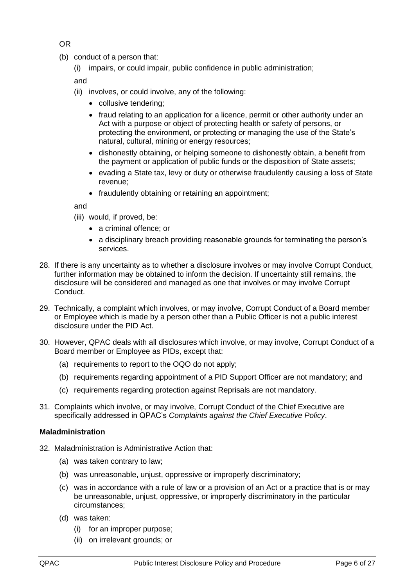OR

- (b) conduct of a person that:
	- (i) impairs, or could impair, public confidence in public administration;

and

- (ii) involves, or could involve, any of the following:
	- collusive tendering;
	- fraud relating to an application for a licence, permit or other authority under an Act with a purpose or object of protecting health or safety of persons, or protecting the environment, or protecting or managing the use of the State's natural, cultural, mining or energy resources;
	- dishonestly obtaining, or helping someone to dishonestly obtain, a benefit from the payment or application of public funds or the disposition of State assets;
	- evading a State tax, levy or duty or otherwise fraudulently causing a loss of State revenue;
	- fraudulently obtaining or retaining an appointment;

and

- (iii) would, if proved, be:
	- a criminal offence; or
	- a disciplinary breach providing reasonable grounds for terminating the person's services.
- 28. If there is any uncertainty as to whether a disclosure involves or may involve Corrupt Conduct, further information may be obtained to inform the decision. If uncertainty still remains, the disclosure will be considered and managed as one that involves or may involve Corrupt Conduct.
- 29. Technically, a complaint which involves, or may involve, Corrupt Conduct of a Board member or Employee which is made by a person other than a Public Officer is not a public interest disclosure under the PID Act.
- 30. However, QPAC deals with all disclosures which involve, or may involve, Corrupt Conduct of a Board member or Employee as PIDs, except that:
	- (a) requirements to report to the OQO do not apply;
	- (b) requirements regarding appointment of a PID Support Officer are not mandatory; and
	- (c) requirements regarding protection against Reprisals are not mandatory.
- 31. Complaints which involve, or may involve, Corrupt Conduct of the Chief Executive are specifically addressed in QPAC's *Complaints against the Chief Executive Policy*.

## <span id="page-5-0"></span>**Maladministration**

- <span id="page-5-1"></span>32. Maladministration is Administrative Action that:
	- (a) was taken contrary to law;
	- (b) was unreasonable, unjust, oppressive or improperly discriminatory;
	- (c) was in accordance with a rule of law or a provision of an Act or a practice that is or may be unreasonable, unjust, oppressive, or improperly discriminatory in the particular circumstances;
	- (d) was taken:
		- (i) for an improper purpose;
		- (ii) on irrelevant grounds; or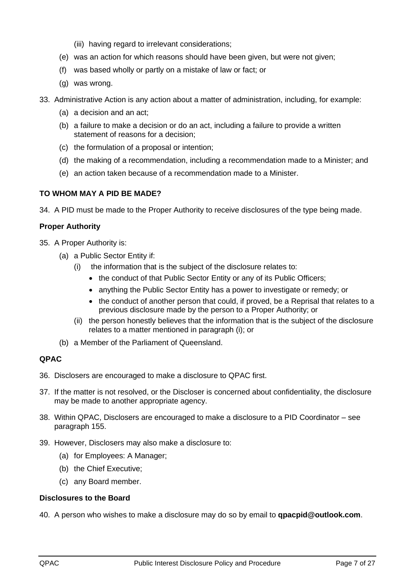- (iii) having regard to irrelevant considerations;
- (e) was an action for which reasons should have been given, but were not given;
- (f) was based wholly or partly on a mistake of law or fact; or
- (g) was wrong.
- <span id="page-6-5"></span>33. Administrative Action is any action about a matter of administration, including, for example:
	- (a) a decision and an act;
	- (b) a failure to make a decision or do an act, including a failure to provide a written statement of reasons for a decision;
	- (c) the formulation of a proposal or intention;
	- (d) the making of a recommendation, including a recommendation made to a Minister; and
	- (e) an action taken because of a recommendation made to a Minister.

## <span id="page-6-0"></span>**TO WHOM MAY A PID BE MADE?**

34. A PID must be made to the Proper Authority to receive disclosures of the type being made.

## <span id="page-6-6"></span><span id="page-6-1"></span>**Proper Authority**

- <span id="page-6-4"></span>35. A Proper Authority is:
	- (a) a Public Sector Entity if:
		- (i) the information that is the subject of the disclosure relates to:
			- the conduct of that Public Sector Entity or any of its Public Officers;
			- anything the Public Sector Entity has a power to investigate or remedy; or
			- the conduct of another person that could, if proved, be a Reprisal that relates to a previous disclosure made by the person to a Proper Authority; or
		- (ii) the person honestly believes that the information that is the subject of the disclosure relates to a matter mentioned in paragraph [\(i\);](#page-6-4) or
	- (b) a Member of the Parliament of Queensland.

# <span id="page-6-2"></span>**QPAC**

- 36. Disclosers are encouraged to make a disclosure to QPAC first.
- 37. If the matter is not resolved, or the Discloser is concerned about confidentiality, the disclosure may be made to another appropriate agency.
- 38. Within QPAC, Disclosers are encouraged to make a disclosure to a PID Coordinator see paragraph [155.](#page-20-1)
- 39. However, Disclosers may also make a disclosure to:
	- (a) for Employees: A Manager;
	- (b) the Chief Executive;
	- (c) any Board member.

## <span id="page-6-3"></span>**Disclosures to the Board**

40. A person who wishes to make a disclosure may do so by email to **qpacpid@outlook.com**.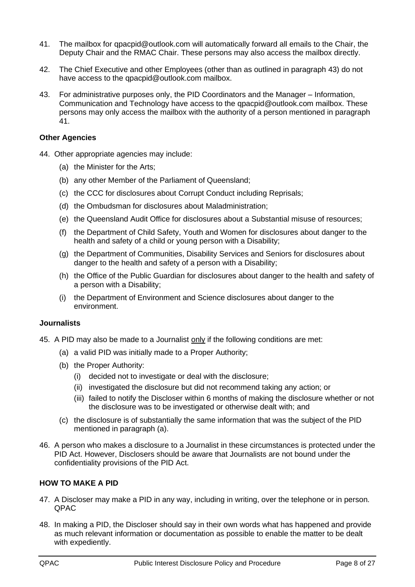- <span id="page-7-4"></span>41. The mailbox for qpacpid@outlook.com will automatically forward all emails to the Chair, the Deputy Chair and the RMAC Chair. These persons may also access the mailbox directly.
- 42. The Chief Executive and other Employees (other than as outlined in paragraph [43\)](#page-7-3) do not have access to the qpacpid@outlook.com mailbox.
- <span id="page-7-3"></span>43. For administrative purposes only, the PID Coordinators and the Manager – Information, Communication and Technology have access to the qpacpid@outlook.com mailbox. These persons may only access the mailbox with the authority of a person mentioned in paragraph [41.](#page-7-4)

#### <span id="page-7-0"></span>**Other Agencies**

- 44. Other appropriate agencies may include:
	- (a) the Minister for the Arts;
	- (b) any other Member of the Parliament of Queensland;
	- (c) the CCC for disclosures about Corrupt Conduct including Reprisals;
	- (d) the Ombudsman for disclosures about Maladministration;
	- (e) the Queensland Audit Office for disclosures about a Substantial misuse of resources;
	- (f) the Department of Child Safety, Youth and Women for disclosures about danger to the health and safety of a child or young person with a Disability;
	- (g) the Department of Communities, Disability Services and Seniors for disclosures about danger to the health and safety of a person with a Disability;
	- (h) the Office of the Public Guardian for disclosures about danger to the health and safety of a person with a Disability;
	- (i) the Department of Environment and Science disclosures about danger to the environment.

#### <span id="page-7-1"></span>**Journalists**

- <span id="page-7-5"></span>45. A PID may also be made to a Journalist only if the following conditions are met:
	- (a) a valid PID was initially made to a Proper Authority;
	- (b) the Proper Authority:
		- (i) decided not to investigate or deal with the disclosure;
		- (ii) investigated the disclosure but did not recommend taking any action; or
		- (iii) failed to notify the Discloser within 6 months of making the disclosure whether or not the disclosure was to be investigated or otherwise dealt with; and
	- (c) the disclosure is of substantially the same information that was the subject of the PID mentioned in paragraph [\(a\).](#page-7-5)
- <span id="page-7-6"></span>46. A person who makes a disclosure to a Journalist in these circumstances is protected under the PID Act. However, Disclosers should be aware that Journalists are not bound under the confidentiality provisions of the PID Act.

## <span id="page-7-2"></span>**HOW TO MAKE A PID**

- 47. A Discloser may make a PID in any way, including in writing, over the telephone or in person. QPAC
- 48. In making a PID, the Discloser should say in their own words what has happened and provide as much relevant information or documentation as possible to enable the matter to be dealt with expediently.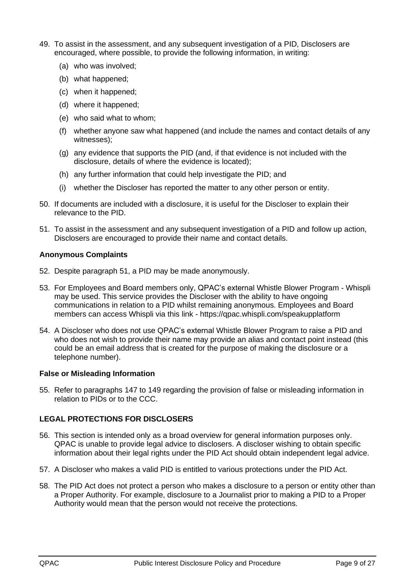- 49. To assist in the assessment, and any subsequent investigation of a PID, Disclosers are encouraged, where possible, to provide the following information, in writing:
	- (a) who was involved;
	- (b) what happened;
	- (c) when it happened;
	- (d) where it happened;
	- (e) who said what to whom;
	- (f) whether anyone saw what happened (and include the names and contact details of any witnesses);
	- (g) any evidence that supports the PID (and, if that evidence is not included with the disclosure, details of where the evidence is located);
	- (h) any further information that could help investigate the PID; and
	- (i) whether the Discloser has reported the matter to any other person or entity.
- 50. If documents are included with a disclosure, it is useful for the Discloser to explain their relevance to the PID.
- <span id="page-8-3"></span>51. To assist in the assessment and any subsequent investigation of a PID and follow up action, Disclosers are encouraged to provide their name and contact details.

## <span id="page-8-0"></span>**Anonymous Complaints**

- 52. Despite paragraph [51,](#page-8-3) a PID may be made anonymously.
- 53. For Employees and Board members only, QPAC's external Whistle Blower Program Whispli may be used. This service provides the Discloser with the ability to have ongoing communications in relation to a PID whilst remaining anonymous. Employees and Board members can access Whispli via this link - https://qpac.whispli.com/speakupplatform
- 54. A Discloser who does not use QPAC's external Whistle Blower Program to raise a PID and who does not wish to provide their name may provide an alias and contact point instead (this could be an email address that is created for the purpose of making the disclosure or a telephone number).

## <span id="page-8-1"></span>**False or Misleading Information**

55. Refer to paragraphs [147](#page-18-2) to [149](#page-19-2) regarding the provision of false or misleading information in relation to PIDs or to the CCC.

# <span id="page-8-2"></span>**LEGAL PROTECTIONS FOR DISCLOSERS**

- 56. This section is intended only as a broad overview for general information purposes only. QPAC is unable to provide legal advice to disclosers. A discloser wishing to obtain specific information about their legal rights under the PID Act should obtain independent legal advice.
- 57. A Discloser who makes a valid PID is entitled to various protections under the PID Act.
- 58. The PID Act does not protect a person who makes a disclosure to a person or entity other than a Proper Authority. For example, disclosure to a Journalist prior to making a PID to a Proper Authority would mean that the person would not receive the protections.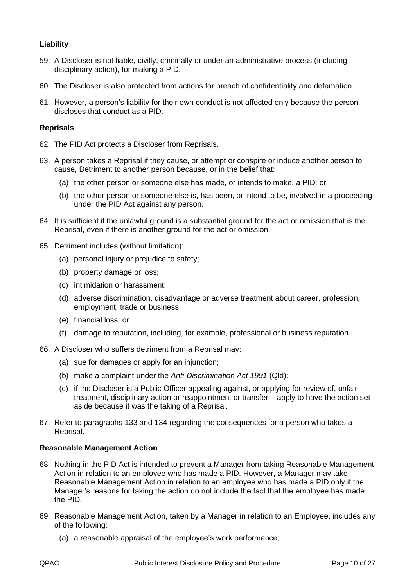# <span id="page-9-0"></span>**Liability**

- 59. A Discloser is not liable, civilly, criminally or under an administrative process (including disciplinary action), for making a PID.
- 60. The Discloser is also protected from actions for breach of confidentiality and defamation.
- 61. However, a person's liability for their own conduct is not affected only because the person discloses that conduct as a PID.

## <span id="page-9-1"></span>**Reprisals**

- <span id="page-9-4"></span>62. The PID Act protects a Discloser from Reprisals.
- <span id="page-9-7"></span>63. A person takes a Reprisal if they cause, or attempt or conspire or induce another person to cause, Detriment to another person because, or in the belief that:
	- (a) the other person or someone else has made, or intends to make, a PID; or
	- (b) the other person or someone else is, has been, or intend to be, involved in a proceeding under the PID Act against any person.
- 64. It is sufficient if the unlawful ground is a substantial ground for the act or omission that is the Reprisal, even if there is another ground for the act or omission.
- <span id="page-9-5"></span>65. Detriment includes (without limitation):
	- (a) personal injury or prejudice to safety;
	- (b) property damage or loss;
	- (c) intimidation or harassment;
	- (d) adverse discrimination, disadvantage or adverse treatment about career, profession, employment, trade or business;
	- (e) financial loss; or
	- (f) damage to reputation, including, for example, professional or business reputation.
- 66. A Discloser who suffers detriment from a Reprisal may:
	- (a) sue for damages or apply for an injunction;
	- (b) make a complaint under the *Anti-Discrimination Act 1991* (Qld);
	- (c) if the Discloser is a Public Officer appealing against, or applying for review of, unfair treatment, disciplinary action or reappointment or transfer – apply to have the action set aside because it was the taking of a Reprisal.
- 67. Refer to paragraphs [133](#page-17-3) and [134](#page-17-4) regarding the consequences for a person who takes a Reprisal.

## <span id="page-9-2"></span>**Reasonable Management Action**

- 68. Nothing in the PID Act is intended to prevent a Manager from taking Reasonable Management Action in relation to an employee who has made a PID. However, a Manager may take Reasonable Management Action in relation to an employee who has made a PID only if the Manager's reasons for taking the action do not include the fact that the employee has made the PID.
- <span id="page-9-6"></span><span id="page-9-3"></span>69. Reasonable Management Action, taken by a Manager in relation to an Employee, includes any of the following:
	- (a) a reasonable appraisal of the employee's work performance;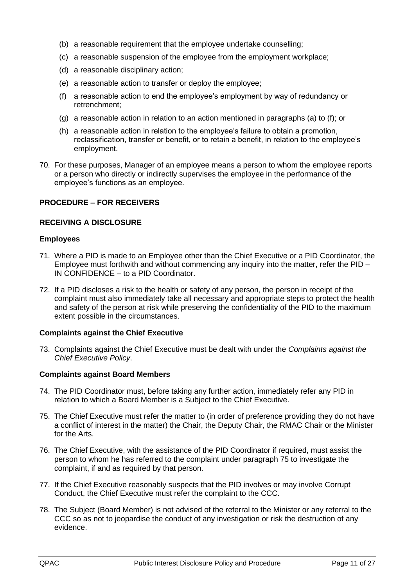- (b) a reasonable requirement that the employee undertake counselling;
- (c) a reasonable suspension of the employee from the employment workplace;
- (d) a reasonable disciplinary action;
- (e) a reasonable action to transfer or deploy the employee;
- <span id="page-10-5"></span>(f) a reasonable action to end the employee's employment by way of redundancy or retrenchment;
- (g) a reasonable action in relation to an action mentioned in paragraphs [\(a\)](#page-9-3) to [\(f\);](#page-10-5) or
- (h) a reasonable action in relation to the employee's failure to obtain a promotion, reclassification, transfer or benefit, or to retain a benefit, in relation to the employee's employment.
- <span id="page-10-9"></span>70. For these purposes, Manager of an employee means a person to whom the employee reports or a person who directly or indirectly supervises the employee in the performance of the employee's functions as an employee.

## <span id="page-10-1"></span><span id="page-10-0"></span>**PROCEDURE – FOR RECEIVERS**

## **RECEIVING A DISCLOSURE**

#### <span id="page-10-2"></span>**Employees**

- 71. Where a PID is made to an Employee other than the Chief Executive or a PID Coordinator, the Employee must forthwith and without commencing any inquiry into the matter, refer the PID – IN CONFIDENCE – to a PID Coordinator.
- 72. If a PID discloses a risk to the health or safety of any person, the person in receipt of the complaint must also immediately take all necessary and appropriate steps to protect the health and safety of the person at risk while preserving the confidentiality of the PID to the maximum extent possible in the circumstances.

#### <span id="page-10-7"></span><span id="page-10-3"></span>**Complaints against the Chief Executive**

73. Complaints against the Chief Executive must be dealt with under the *Complaints against the Chief Executive Policy*.

## <span id="page-10-4"></span>**Complaints against Board Members**

- 74. The PID Coordinator must, before taking any further action, immediately refer any PID in relation to which a Board Member is a Subject to the Chief Executive.
- <span id="page-10-6"></span>75. The Chief Executive must refer the matter to (in order of preference providing they do not have a conflict of interest in the matter) the Chair, the Deputy Chair, the RMAC Chair or the Minister for the Arts.
- <span id="page-10-8"></span>76. The Chief Executive, with the assistance of the PID Coordinator if required, must assist the person to whom he has referred to the complaint under paragraph [75](#page-10-6) to investigate the complaint, if and as required by that person.
- 77. If the Chief Executive reasonably suspects that the PID involves or may involve Corrupt Conduct, the Chief Executive must refer the complaint to the CCC.
- 78. The Subject (Board Member) is not advised of the referral to the Minister or any referral to the CCC so as not to jeopardise the conduct of any investigation or risk the destruction of any evidence.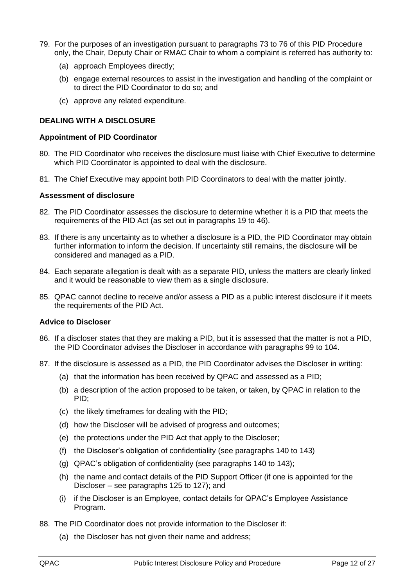- 79. For the purposes of an investigation pursuant to paragraphs [73](#page-10-7) to [76](#page-10-8) of this PID Procedure only, the Chair, Deputy Chair or RMAC Chair to whom a complaint is referred has authority to:
	- (a) approach Employees directly;
	- (b) engage external resources to assist in the investigation and handling of the complaint or to direct the PID Coordinator to do so; and
	- (c) approve any related expenditure.

## <span id="page-11-0"></span>**DEALING WITH A DISCLOSURE**

## <span id="page-11-1"></span>**Appointment of PID Coordinator**

- 80. The PID Coordinator who receives the disclosure must liaise with Chief Executive to determine which PID Coordinator is appointed to deal with the disclosure.
- 81. The Chief Executive may appoint both PID Coordinators to deal with the matter jointly.

## <span id="page-11-2"></span>**Assessment of disclosure**

- 82. The PID Coordinator assesses the disclosure to determine whether it is a PID that meets the requirements of the PID Act (as set out in paragraphs [19](#page-3-3) to [46\)](#page-7-6).
- 83. If there is any uncertainty as to whether a disclosure is a PID, the PID Coordinator may obtain further information to inform the decision. If uncertainty still remains, the disclosure will be considered and managed as a PID.
- 84. Each separate allegation is dealt with as a separate PID, unless the matters are clearly linked and it would be reasonable to view them as a single disclosure.
- 85. QPAC cannot decline to receive and/or assess a PID as a public interest disclosure if it meets the requirements of the PID Act.

## <span id="page-11-3"></span>**Advice to Discloser**

- 86. If a discloser states that they are making a PID, but it is assessed that the matter is not a PID, the PID Coordinator advises the Discloser in accordance with paragraphs [99](#page-13-4) to [104.](#page-13-5)
- 87. If the disclosure is assessed as a PID, the PID Coordinator advises the Discloser in writing:
	- (a) that the information has been received by QPAC and assessed as a PID;
	- (b) a description of the action proposed to be taken, or taken, by QPAC in relation to the PID;
	- (c) the likely timeframes for dealing with the PID;
	- (d) how the Discloser will be advised of progress and outcomes;
	- (e) the protections under the PID Act that apply to the Discloser;
	- (f) the Discloser's obligation of confidentiality (see paragraphs [140](#page-17-5) to [143\)](#page-18-3)
	- (g) QPAC's obligation of confidentiality (see paragraphs [140](#page-17-5) to [143\)](#page-18-3);
	- (h) the name and contact details of the PID Support Officer (if one is appointed for the Discloser – see paragraphs [125](#page-16-3) to [127\)](#page-16-4); and
	- (i) if the Discloser is an Employee, contact details for QPAC's Employee Assistance Program.
- 88. The PID Coordinator does not provide information to the Discloser if:
	- (a) the Discloser has not given their name and address;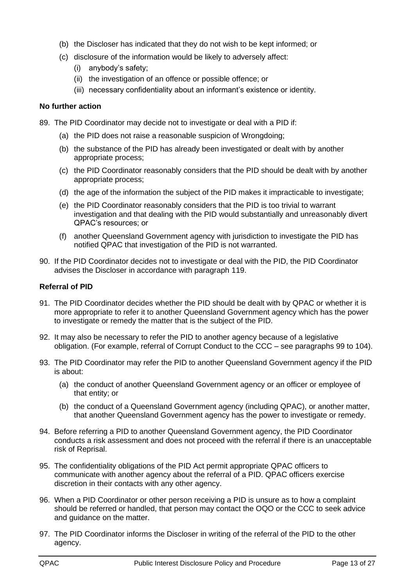- (b) the Discloser has indicated that they do not wish to be kept informed; or
- (c) disclosure of the information would be likely to adversely affect:
	- (i) anybody's safety;
	- (ii) the investigation of an offence or possible offence; or
	- (iii) necessary confidentiality about an informant's existence or identity.

## <span id="page-12-0"></span>**No further action**

- 89. The PID Coordinator may decide not to investigate or deal with a PID if:
	- (a) the PID does not raise a reasonable suspicion of Wrongdoing;
	- (b) the substance of the PID has already been investigated or dealt with by another appropriate process;
	- (c) the PID Coordinator reasonably considers that the PID should be dealt with by another appropriate process;
	- (d) the age of the information the subject of the PID makes it impracticable to investigate;
	- (e) the PID Coordinator reasonably considers that the PID is too trivial to warrant investigation and that dealing with the PID would substantially and unreasonably divert QPAC's resources; or
	- (f) another Queensland Government agency with jurisdiction to investigate the PID has notified QPAC that investigation of the PID is not warranted.
- 90. If the PID Coordinator decides not to investigate or deal with the PID, the PID Coordinator advises the Discloser in accordance with paragraph [119.](#page-15-4)

## <span id="page-12-1"></span>**Referral of PID**

- 91. The PID Coordinator decides whether the PID should be dealt with by QPAC or whether it is more appropriate to refer it to another Queensland Government agency which has the power to investigate or remedy the matter that is the subject of the PID.
- 92. It may also be necessary to refer the PID to another agency because of a legislative obligation. (For example, referral of Corrupt Conduct to the CCC – see paragraphs [99](#page-13-4) to [104\)](#page-13-5).
- 93. The PID Coordinator may refer the PID to another Queensland Government agency if the PID is about:
	- (a) the conduct of another Queensland Government agency or an officer or employee of that entity; or
	- (b) the conduct of a Queensland Government agency (including QPAC), or another matter, that another Queensland Government agency has the power to investigate or remedy.
- 94. Before referring a PID to another Queensland Government agency, the PID Coordinator conducts a risk assessment and does not proceed with the referral if there is an unacceptable risk of Reprisal.
- 95. The confidentiality obligations of the PID Act permit appropriate QPAC officers to communicate with another agency about the referral of a PID. QPAC officers exercise discretion in their contacts with any other agency.
- 96. When a PID Coordinator or other person receiving a PID is unsure as to how a complaint should be referred or handled, that person may contact the OQO or the CCC to seek advice and guidance on the matter.
- 97. The PID Coordinator informs the Discloser in writing of the referral of the PID to the other agency.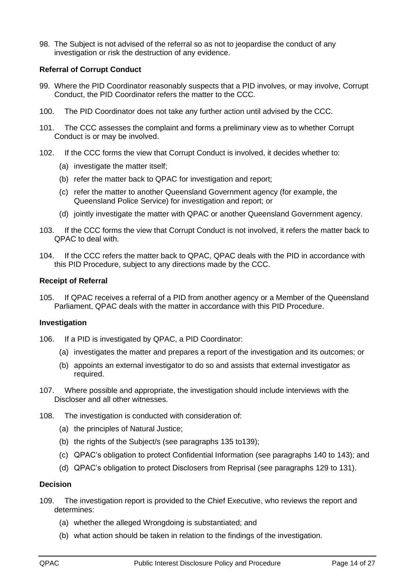98. The Subject is not advised of the referral so as not to jeopardise the conduct of any investigation or risk the destruction of any evidence.

## <span id="page-13-0"></span>**Referral of Corrupt Conduct**

- <span id="page-13-4"></span>99. Where the PID Coordinator reasonably suspects that a PID involves, or may involve, Corrupt Conduct, the PID Coordinator refers the matter to the CCC.
- 100. The PID Coordinator does not take any further action until advised by the CCC.
- 101. The CCC assesses the complaint and forms a preliminary view as to whether Corrupt Conduct is or may be involved.
- 102. If the CCC forms the view that Corrupt Conduct is involved, it decides whether to:
	- (a) investigate the matter itself;
	- (b) refer the matter back to QPAC for investigation and report;
	- (c) refer the matter to another Queensland Government agency (for example, the Queensland Police Service) for investigation and report; or
	- (d) jointly investigate the matter with QPAC or another Queensland Government agency.
- 103. If the CCC forms the view that Corrupt Conduct is not involved, it refers the matter back to QPAC to deal with.
- <span id="page-13-5"></span>104. If the CCC refers the matter back to QPAC, QPAC deals with the PID in accordance with this PID Procedure, subject to any directions made by the CCC.

#### <span id="page-13-1"></span>**Receipt of Referral**

105. If QPAC receives a referral of a PID from another agency or a Member of the Queensland Parliament, QPAC deals with the matter in accordance with this PID Procedure.

#### <span id="page-13-2"></span>**Investigation**

- 106. If a PID is investigated by QPAC, a PID Coordinator:
	- (a) investigates the matter and prepares a report of the investigation and its outcomes; or
	- (b) appoints an external investigator to do so and assists that external investigator as required.
- 107. Where possible and appropriate, the investigation should include interviews with the Discloser and all other witnesses.
- 108. The investigation is conducted with consideration of:
	- (a) the principles of Natural Justice;
	- (b) the rights of the Subject/s (see paragraphs [135](#page-17-6) t[o139\)](#page-17-7);
	- (c) QPAC's obligation to protect Confidential Information (see paragraphs [140](#page-17-5) to [143\)](#page-18-3); and
	- (d) QPAC's obligation to protect Disclosers from Reprisal (see paragraphs [129](#page-16-5) to [131\)](#page-16-6).

#### <span id="page-13-3"></span>**Decision**

- 109. The investigation report is provided to the Chief Executive, who reviews the report and determines:
	- (a) whether the alleged Wrongdoing is substantiated; and
	- (b) what action should be taken in relation to the findings of the investigation.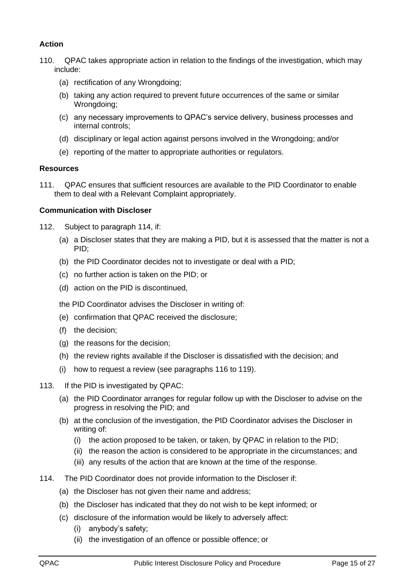# <span id="page-14-0"></span>**Action**

- 110. QPAC takes appropriate action in relation to the findings of the investigation, which may include:
	- (a) rectification of any Wrongdoing;
	- (b) taking any action required to prevent future occurrences of the same or similar Wrongdoing:
	- (c) any necessary improvements to QPAC's service delivery, business processes and internal controls;
	- (d) disciplinary or legal action against persons involved in the Wrongdoing; and/or
	- (e) reporting of the matter to appropriate authorities or regulators.

## <span id="page-14-1"></span>**Resources**

111. QPAC ensures that sufficient resources are available to the PID Coordinator to enable them to deal with a Relevant Complaint appropriately.

## <span id="page-14-2"></span>**Communication with Discloser**

- 112. Subject to paragraph [114,](#page-14-3) if:
	- (a) a Discloser states that they are making a PID, but it is assessed that the matter is not a PID;
	- (b) the PID Coordinator decides not to investigate or deal with a PID;
	- (c) no further action is taken on the PID; or
	- (d) action on the PID is discontinued,
	- the PID Coordinator advises the Discloser in writing of:
	- (e) confirmation that QPAC received the disclosure;
	- (f) the decision;
	- (g) the reasons for the decision;
	- (h) the review rights available if the Discloser is dissatisfied with the decision; and
	- (i) how to request a review (see paragraphs [116](#page-15-5) to [119\)](#page-15-4).
- 113. If the PID is investigated by QPAC:
	- (a) the PID Coordinator arranges for regular follow up with the Discloser to advise on the progress in resolving the PID; and
	- (b) at the conclusion of the investigation, the PID Coordinator advises the Discloser in writing of:
		- (i) the action proposed to be taken, or taken, by QPAC in relation to the PID;
		- (ii) the reason the action is considered to be appropriate in the circumstances; and
		- (iii) any results of the action that are known at the time of the response.
- <span id="page-14-3"></span>114. The PID Coordinator does not provide information to the Discloser if:
	- (a) the Discloser has not given their name and address;
	- (b) the Discloser has indicated that they do not wish to be kept informed; or
	- (c) disclosure of the information would be likely to adversely affect:
		- (i) anybody's safety;
		- (ii) the investigation of an offence or possible offence; or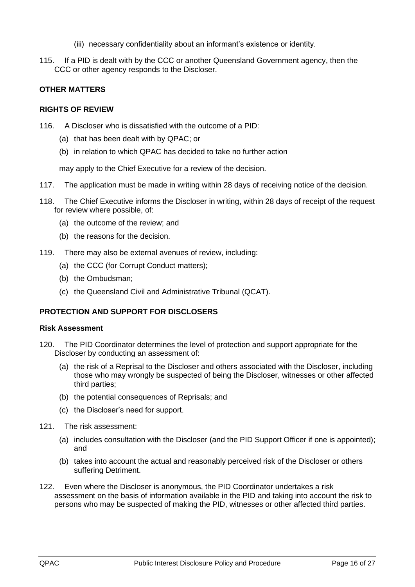- (iii) necessary confidentiality about an informant's existence or identity.
- 115. If a PID is dealt with by the CCC or another Queensland Government agency, then the CCC or other agency responds to the Discloser.

## <span id="page-15-1"></span><span id="page-15-0"></span>**OTHER MATTERS**

#### **RIGHTS OF REVIEW**

- <span id="page-15-5"></span>116. A Discloser who is dissatisfied with the outcome of a PID:
	- (a) that has been dealt with by QPAC; or
	- (b) in relation to which QPAC has decided to take no further action

may apply to the Chief Executive for a review of the decision.

- 117. The application must be made in writing within 28 days of receiving notice of the decision.
- 118. The Chief Executive informs the Discloser in writing, within 28 days of receipt of the request for review where possible, of:
	- (a) the outcome of the review; and
	- (b) the reasons for the decision.
- <span id="page-15-4"></span>119. There may also be external avenues of review, including:
	- (a) the CCC (for Corrupt Conduct matters);
	- (b) the Ombudsman;
	- (c) the Queensland Civil and Administrative Tribunal (QCAT).

## <span id="page-15-2"></span>**PROTECTION AND SUPPORT FOR DISCLOSERS**

#### <span id="page-15-3"></span>**Risk Assessment**

- 120. The PID Coordinator determines the level of protection and support appropriate for the Discloser by conducting an assessment of:
	- (a) the risk of a Reprisal to the Discloser and others associated with the Discloser, including those who may wrongly be suspected of being the Discloser, witnesses or other affected third parties;
	- (b) the potential consequences of Reprisals; and
	- (c) the Discloser's need for support.
- 121. The risk assessment:
	- (a) includes consultation with the Discloser (and the PID Support Officer if one is appointed); and
	- (b) takes into account the actual and reasonably perceived risk of the Discloser or others suffering Detriment.
- 122. Even where the Discloser is anonymous, the PID Coordinator undertakes a risk assessment on the basis of information available in the PID and taking into account the risk to persons who may be suspected of making the PID, witnesses or other affected third parties.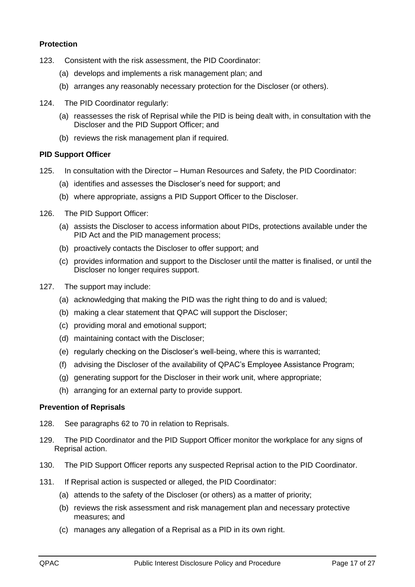## <span id="page-16-0"></span>**Protection**

- 123. Consistent with the risk assessment, the PID Coordinator:
	- (a) develops and implements a risk management plan; and
	- (b) arranges any reasonably necessary protection for the Discloser (or others).
- 124. The PID Coordinator regularly:
	- (a) reassesses the risk of Reprisal while the PID is being dealt with, in consultation with the Discloser and the PID Support Officer; and
	- (b) reviews the risk management plan if required.

## <span id="page-16-1"></span>**PID Support Officer**

- <span id="page-16-3"></span>125. In consultation with the Director – Human Resources and Safety, the PID Coordinator:
	- (a) identifies and assesses the Discloser's need for support; and
	- (b) where appropriate, assigns a PID Support Officer to the Discloser.
- 126. The PID Support Officer:
	- (a) assists the Discloser to access information about PIDs, protections available under the PID Act and the PID management process;
	- (b) proactively contacts the Discloser to offer support; and
	- (c) provides information and support to the Discloser until the matter is finalised, or until the Discloser no longer requires support.
- <span id="page-16-4"></span>127. The support may include:
	- (a) acknowledging that making the PID was the right thing to do and is valued;
	- (b) making a clear statement that QPAC will support the Discloser;
	- (c) providing moral and emotional support;
	- (d) maintaining contact with the Discloser;
	- (e) regularly checking on the Discloser's well-being, where this is warranted;
	- (f) advising the Discloser of the availability of QPAC's Employee Assistance Program;
	- (g) generating support for the Discloser in their work unit, where appropriate;
	- (h) arranging for an external party to provide support.

## <span id="page-16-2"></span>**Prevention of Reprisals**

- 128. See paragraphs [62](#page-9-4) to [70](#page-10-9) in relation to Reprisals.
- <span id="page-16-5"></span>129. The PID Coordinator and the PID Support Officer monitor the workplace for any signs of Reprisal action.
- 130. The PID Support Officer reports any suspected Reprisal action to the PID Coordinator.
- <span id="page-16-6"></span>131. If Reprisal action is suspected or alleged, the PID Coordinator:
	- (a) attends to the safety of the Discloser (or others) as a matter of priority;
	- (b) reviews the risk assessment and risk management plan and necessary protective measures; and
	- (c) manages any allegation of a Reprisal as a PID in its own right.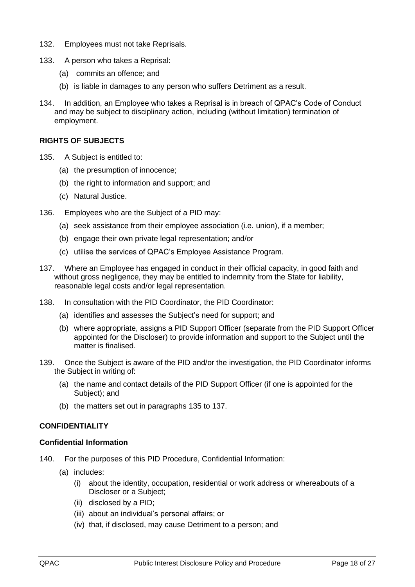- 132. Employees must not take Reprisals.
- <span id="page-17-3"></span>133. A person who takes a Reprisal:
	- (a) commits an offence; and
	- (b) is liable in damages to any person who suffers Detriment as a result.
- <span id="page-17-4"></span>134. In addition, an Employee who takes a Reprisal is in breach of QPAC's Code of Conduct and may be subject to disciplinary action, including (without limitation) termination of employment.

## <span id="page-17-6"></span><span id="page-17-0"></span>**RIGHTS OF SUBJECTS**

- 135. A Subject is entitled to:
	- (a) the presumption of innocence;
	- (b) the right to information and support; and
	- (c) Natural Justice.
- 136. Employees who are the Subject of a PID may:
	- (a) seek assistance from their employee association (i.e. union), if a member;
	- (b) engage their own private legal representation; and/or
	- (c) utilise the services of QPAC's Employee Assistance Program.
- <span id="page-17-8"></span>137. Where an Employee has engaged in conduct in their official capacity, in good faith and without gross negligence, they may be entitled to indemnity from the State for liability, reasonable legal costs and/or legal representation.
- 138. In consultation with the PID Coordinator, the PID Coordinator:
	- (a) identifies and assesses the Subject's need for support; and
	- (b) where appropriate, assigns a PID Support Officer (separate from the PID Support Officer appointed for the Discloser) to provide information and support to the Subject until the matter is finalised.
- <span id="page-17-7"></span>139. Once the Subject is aware of the PID and/or the investigation, the PID Coordinator informs the Subject in writing of:
	- (a) the name and contact details of the PID Support Officer (if one is appointed for the Subject); and
	- (b) the matters set out in paragraphs [135](#page-17-6) to [137.](#page-17-8)

## <span id="page-17-1"></span>**CONFIDENTIALITY**

## <span id="page-17-2"></span>**Confidential Information**

- <span id="page-17-5"></span>140. For the purposes of this PID Procedure, Confidential Information:
	- (a) includes:
		- (i) about the identity, occupation, residential or work address or whereabouts of a Discloser or a Subject;
		- (ii) disclosed by a PID;
		- (iii) about an individual's personal affairs; or
		- (iv) that, if disclosed, may cause Detriment to a person; and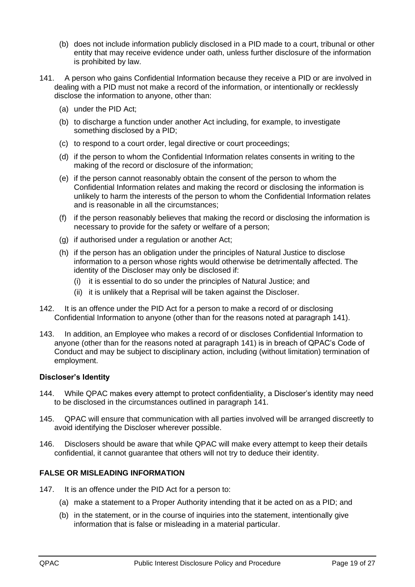- (b) does not include information publicly disclosed in a PID made to a court, tribunal or other entity that may receive evidence under oath, unless further disclosure of the information is prohibited by law.
- <span id="page-18-4"></span>141. A person who gains Confidential Information because they receive a PID or are involved in dealing with a PID must not make a record of the information, or intentionally or recklessly disclose the information to anyone, other than:
	- (a) under the PID Act;
	- (b) to discharge a function under another Act including, for example, to investigate something disclosed by a PID;
	- (c) to respond to a court order, legal directive or court proceedings;
	- (d) if the person to whom the Confidential Information relates consents in writing to the making of the record or disclosure of the information;
	- (e) if the person cannot reasonably obtain the consent of the person to whom the Confidential Information relates and making the record or disclosing the information is unlikely to harm the interests of the person to whom the Confidential Information relates and is reasonable in all the circumstances;
	- (f) if the person reasonably believes that making the record or disclosing the information is necessary to provide for the safety or welfare of a person;
	- (g) if authorised under a regulation or another Act;
	- (h) if the person has an obligation under the principles of Natural Justice to disclose information to a person whose rights would otherwise be detrimentally affected. The identity of the Discloser may only be disclosed if:
		- (i) it is essential to do so under the principles of Natural Justice; and
		- (ii) it is unlikely that a Reprisal will be taken against the Discloser.
- 142. It is an offence under the PID Act for a person to make a record of or disclosing Confidential Information to anyone (other than for the reasons noted at paragraph [141\)](#page-18-4).
- <span id="page-18-3"></span>143. In addition, an Employee who makes a record of or discloses Confidential Information to anyone (other than for the reasons noted at paragraph [141\)](#page-18-4) is in breach of QPAC's Code of Conduct and may be subject to disciplinary action, including (without limitation) termination of employment.

# <span id="page-18-0"></span>**Discloser's Identity**

- 144. While QPAC makes every attempt to protect confidentiality, a Discloser's identity may need to be disclosed in the circumstances outlined in paragraph [141.](#page-18-4)
- 145. QPAC will ensure that communication with all parties involved will be arranged discreetly to avoid identifying the Discloser wherever possible.
- 146. Disclosers should be aware that while QPAC will make every attempt to keep their details confidential, it cannot guarantee that others will not try to deduce their identity.

# <span id="page-18-1"></span>**FALSE OR MISLEADING INFORMATION**

- <span id="page-18-2"></span>147. It is an offence under the PID Act for a person to:
	- (a) make a statement to a Proper Authority intending that it be acted on as a PID; and
	- (b) in the statement, or in the course of inquiries into the statement, intentionally give information that is false or misleading in a material particular.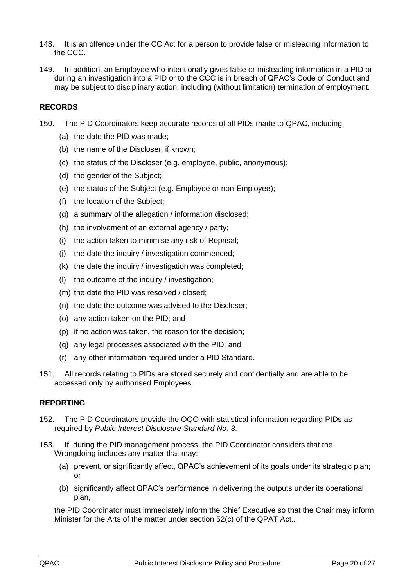- 148. It is an offence under the CC Act for a person to provide false or misleading information to the CCC.
- <span id="page-19-2"></span>149. In addition, an Employee who intentionally gives false or misleading information in a PID or during an investigation into a PID or to the CCC is in breach of QPAC's Code of Conduct and may be subject to disciplinary action, including (without limitation) termination of employment.

## <span id="page-19-0"></span>**RECORDS**

- 150. The PID Coordinators keep accurate records of all PIDs made to QPAC, including:
	- (a) the date the PID was made;
	- (b) the name of the Discloser, if known;
	- (c) the status of the Discloser (e.g. employee, public, anonymous);
	- (d) the gender of the Subject;
	- (e) the status of the Subject (e.g. Employee or non-Employee);
	- (f) the location of the Subject;
	- (g) a summary of the allegation / information disclosed;
	- (h) the involvement of an external agency / party;
	- (i) the action taken to minimise any risk of Reprisal;
	- (j) the date the inquiry / investigation commenced;
	- (k) the date the inquiry / investigation was completed;
	- (l) the outcome of the inquiry / investigation;
	- (m) the date the PID was resolved / closed;
	- (n) the date the outcome was advised to the Discloser;
	- (o) any action taken on the PID; and
	- (p) if no action was taken, the reason for the decision;
	- (q) any legal processes associated with the PID; and
	- (r) any other information required under a PID Standard.
- 151. All records relating to PIDs are stored securely and confidentially and are able to be accessed only by authorised Employees.

# <span id="page-19-1"></span>**REPORTING**

- 152. The PID Coordinators provide the OQO with statistical information regarding PIDs as required by *Public Interest Disclosure Standard No. 3*.
- 153. If, during the PID management process, the PID Coordinator considers that the Wrongdoing includes any matter that may:
	- (a) prevent, or significantly affect, QPAC's achievement of its goals under its strategic plan; or
	- (b) significantly affect QPAC's performance in delivering the outputs under its operational plan,

the PID Coordinator must immediately inform the Chief Executive so that the Chair may inform Minister for the Arts of the matter under section 52(c) of the QPAT Act..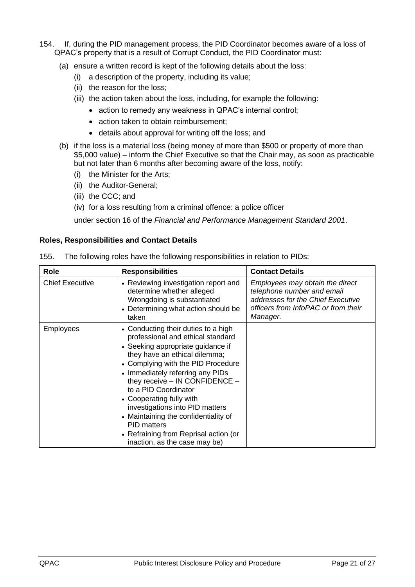- 154. If, during the PID management process, the PID Coordinator becomes aware of a loss of QPAC's property that is a result of Corrupt Conduct, the PID Coordinator must:
	- (a) ensure a written record is kept of the following details about the loss:
		- (i) a description of the property, including its value;
		- (ii) the reason for the loss;
		- (iii) the action taken about the loss, including, for example the following:
			- action to remedy any weakness in QPAC's internal control;
			- action taken to obtain reimbursement;
			- details about approval for writing off the loss; and
	- (b) if the loss is a material loss (being money of more than \$500 or property of more than \$5,000 value) – inform the Chief Executive so that the Chair may, as soon as practicable but not later than 6 months after becoming aware of the loss, notify:
		- (i) the Minister for the Arts;
		- (ii) the Auditor-General;
		- (iii) the CCC; and
		- (iv) for a loss resulting from a criminal offence: a police officer

under section 16 of the *Financial and Performance Management Standard 2001*.

## <span id="page-20-0"></span>**Roles, Responsibilities and Contact Details**

| Role                   | <b>Responsibilities</b>                                                                                                                                                                                                                                                                                                                                                                                                                                                                       | <b>Contact Details</b>                                                                                                                                |
|------------------------|-----------------------------------------------------------------------------------------------------------------------------------------------------------------------------------------------------------------------------------------------------------------------------------------------------------------------------------------------------------------------------------------------------------------------------------------------------------------------------------------------|-------------------------------------------------------------------------------------------------------------------------------------------------------|
| <b>Chief Executive</b> | • Reviewing investigation report and<br>determine whether alleged<br>Wrongdoing is substantiated<br>• Determining what action should be<br>taken                                                                                                                                                                                                                                                                                                                                              | Employees may obtain the direct<br>telephone number and email<br>addresses for the Chief Executive<br>officers from InfoPAC or from their<br>Manager. |
| <b>Employees</b>       | • Conducting their duties to a high<br>professional and ethical standard<br>• Seeking appropriate guidance if<br>they have an ethical dilemma;<br>• Complying with the PID Procedure<br>• Immediately referring any PIDs<br>they receive $-$ IN CONFIDENCE $-$<br>to a PID Coordinator<br>• Cooperating fully with<br>investigations into PID matters<br>• Maintaining the confidentiality of<br><b>PID matters</b><br>• Refraining from Reprisal action (or<br>inaction, as the case may be) |                                                                                                                                                       |

<span id="page-20-1"></span>155. The following roles have the following responsibilities in relation to PIDs: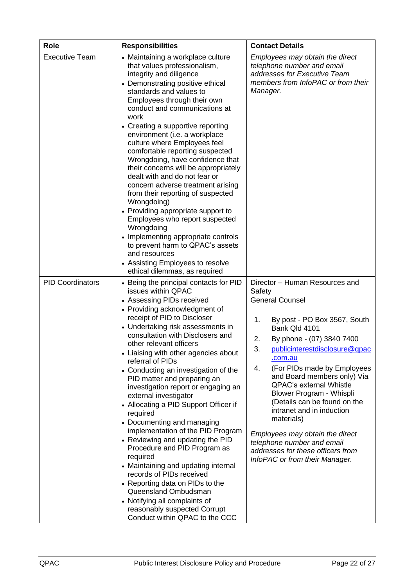| <b>Role</b>             | <b>Responsibilities</b>                                                                                                                                                                                                                                                                                                                                                                                                                                                                                                                                                                                                                                                                                                                                                                                                                                                                                   | <b>Contact Details</b>                                                                                                                                                                                                                                                                                                                                                                                                                                                                                                                                             |
|-------------------------|-----------------------------------------------------------------------------------------------------------------------------------------------------------------------------------------------------------------------------------------------------------------------------------------------------------------------------------------------------------------------------------------------------------------------------------------------------------------------------------------------------------------------------------------------------------------------------------------------------------------------------------------------------------------------------------------------------------------------------------------------------------------------------------------------------------------------------------------------------------------------------------------------------------|--------------------------------------------------------------------------------------------------------------------------------------------------------------------------------------------------------------------------------------------------------------------------------------------------------------------------------------------------------------------------------------------------------------------------------------------------------------------------------------------------------------------------------------------------------------------|
| <b>Executive Team</b>   | • Maintaining a workplace culture<br>that values professionalism,<br>integrity and diligence<br>• Demonstrating positive ethical<br>standards and values to<br>Employees through their own<br>conduct and communications at<br>work<br>• Creating a supportive reporting<br>environment (i.e. a workplace<br>culture where Employees feel<br>comfortable reporting suspected<br>Wrongdoing, have confidence that<br>their concerns will be appropriately<br>dealt with and do not fear or<br>concern adverse treatment arising<br>from their reporting of suspected<br>Wrongdoing)<br>• Providing appropriate support to<br>Employees who report suspected<br>Wrongdoing<br>• Implementing appropriate controls<br>to prevent harm to QPAC's assets<br>and resources<br>• Assisting Employees to resolve<br>ethical dilemmas, as required                                                                 | Employees may obtain the direct<br>telephone number and email<br>addresses for Executive Team<br>members from InfoPAC or from their<br>Manager.                                                                                                                                                                                                                                                                                                                                                                                                                    |
| <b>PID Coordinators</b> | • Being the principal contacts for PID<br>issues within QPAC<br>• Assessing PIDs received<br>• Providing acknowledgment of<br>receipt of PID to Discloser<br>• Undertaking risk assessments in<br>consultation with Disclosers and<br>other relevant officers<br>• Liaising with other agencies about<br>referral of PIDs<br>• Conducting an investigation of the<br>PID matter and preparing an<br>investigation report or engaging an<br>external investigator<br>• Allocating a PID Support Officer if<br>required<br>• Documenting and managing<br>implementation of the PID Program<br>• Reviewing and updating the PID<br>Procedure and PID Program as<br>required<br>• Maintaining and updating internal<br>records of PIDs received<br>• Reporting data on PIDs to the<br>Queensland Ombudsman<br>• Notifying all complaints of<br>reasonably suspected Corrupt<br>Conduct within QPAC to the CCC | Director - Human Resources and<br>Safety<br><b>General Counsel</b><br>By post - PO Box 3567, South<br>1.<br>Bank Qld 4101<br>2.<br>By phone - (07) 3840 7400<br>3.<br>publicinterestdisclosure@qpac<br>com.au<br>4.<br>(For PIDs made by Employees<br>and Board members only) Via<br><b>QPAC's external Whistle</b><br>Blower Program - Whispli<br>(Details can be found on the<br>intranet and in induction<br>materials)<br>Employees may obtain the direct<br>telephone number and email<br>addresses for these officers from<br>InfoPAC or from their Manager. |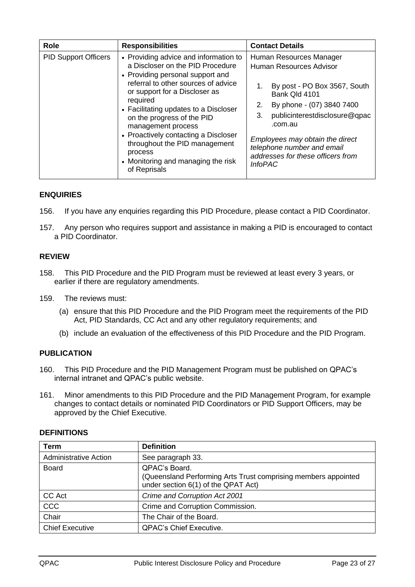| <b>Role</b>                 | <b>Responsibilities</b>                                                                                                                                                                                                                                                                                                                                                                                                                  | <b>Contact Details</b>                                                                                                                                                                                                                                                                                           |
|-----------------------------|------------------------------------------------------------------------------------------------------------------------------------------------------------------------------------------------------------------------------------------------------------------------------------------------------------------------------------------------------------------------------------------------------------------------------------------|------------------------------------------------------------------------------------------------------------------------------------------------------------------------------------------------------------------------------------------------------------------------------------------------------------------|
| <b>PID Support Officers</b> | • Providing advice and information to<br>a Discloser on the PID Procedure<br>• Providing personal support and<br>referral to other sources of advice<br>or support for a Discloser as<br>required<br>• Facilitating updates to a Discloser<br>on the progress of the PID<br>management process<br>• Proactively contacting a Discloser<br>throughout the PID management<br>process<br>• Monitoring and managing the risk<br>of Reprisals | Human Resources Manager<br>Human Resources Advisor<br>By post - PO Box 3567, South<br>Bank Qld 4101<br>By phone - (07) 3840 7400<br>2.<br>publicinterestdisclosure@qpac<br>3.<br>.com.au<br>Employees may obtain the direct<br>telephone number and email<br>addresses for these officers from<br><i>InfoPAC</i> |

## <span id="page-22-0"></span>**ENQUIRIES**

- 156. If you have any enquiries regarding this PID Procedure, please contact a PID Coordinator.
- <span id="page-22-4"></span>157. Any person who requires support and assistance in making a PID is encouraged to contact a PID Coordinator.

## <span id="page-22-1"></span>**REVIEW**

- 158. This PID Procedure and the PID Program must be reviewed at least every 3 years, or earlier if there are regulatory amendments.
- 159. The reviews must:
	- (a) ensure that this PID Procedure and the PID Program meet the requirements of the PID Act, PID Standards, CC Act and any other regulatory requirements; and
	- (b) include an evaluation of the effectiveness of this PID Procedure and the PID Program.

# <span id="page-22-2"></span>**PUBLICATION**

- 160. This PID Procedure and the PID Management Program must be published on QPAC's internal intranet and QPAC's public website.
- 161. Minor amendments to this PID Procedure and the PID Management Program, for example changes to contact details or nominated PID Coordinators or PID Support Officers, may be approved by the Chief Executive.

<span id="page-22-3"></span>

| <b>DEFINITIONS</b> |
|--------------------|
|--------------------|

| Term                         | <b>Definition</b>                                                                                                      |
|------------------------------|------------------------------------------------------------------------------------------------------------------------|
| <b>Administrative Action</b> | See paragraph 33.                                                                                                      |
| Board                        | QPAC's Board.<br>(Queensland Performing Arts Trust comprising members appointed<br>under section 6(1) of the QPAT Act) |
| CC Act                       | Crime and Corruption Act 2001                                                                                          |
| <b>CCC</b>                   | Crime and Corruption Commission.                                                                                       |
| Chair                        | The Chair of the Board.                                                                                                |
| <b>Chief Executive</b>       | <b>QPAC's Chief Executive.</b>                                                                                         |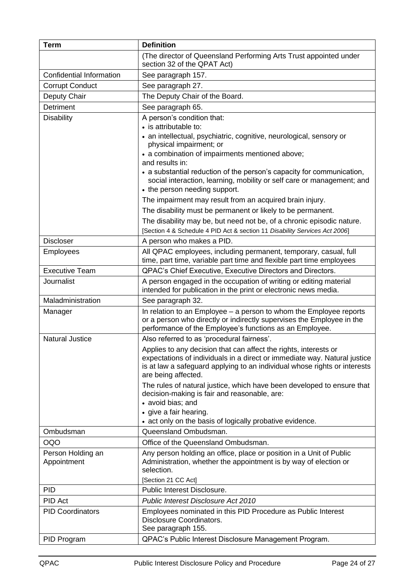| <b>Term</b>                      | <b>Definition</b>                                                                                                                                                                                                                                 |
|----------------------------------|---------------------------------------------------------------------------------------------------------------------------------------------------------------------------------------------------------------------------------------------------|
|                                  | (The director of Queensland Performing Arts Trust appointed under<br>section 32 of the QPAT Act)                                                                                                                                                  |
| Confidential Information         | See paragraph 157.                                                                                                                                                                                                                                |
| <b>Corrupt Conduct</b>           | See paragraph 27.                                                                                                                                                                                                                                 |
| Deputy Chair                     | The Deputy Chair of the Board.                                                                                                                                                                                                                    |
| Detriment                        | See paragraph 65.                                                                                                                                                                                                                                 |
| <b>Disability</b>                | A person's condition that:                                                                                                                                                                                                                        |
|                                  | • is attributable to:                                                                                                                                                                                                                             |
|                                  | • an intellectual, psychiatric, cognitive, neurological, sensory or<br>physical impairment; or                                                                                                                                                    |
|                                  | • a combination of impairments mentioned above;<br>and results in:                                                                                                                                                                                |
|                                  | • a substantial reduction of the person's capacity for communication,<br>social interaction, learning, mobility or self care or management; and<br>• the person needing support.                                                                  |
|                                  | The impairment may result from an acquired brain injury.                                                                                                                                                                                          |
|                                  | The disability must be permanent or likely to be permanent.                                                                                                                                                                                       |
|                                  | The disability may be, but need not be, of a chronic episodic nature.<br>[Section 4 & Schedule 4 PID Act & section 11 Disability Services Act 2006]                                                                                               |
| <b>Discloser</b>                 | A person who makes a PID.                                                                                                                                                                                                                         |
| <b>Employees</b>                 | All QPAC employees, including permanent, temporary, casual, full<br>time, part time, variable part time and flexible part time employees                                                                                                          |
| <b>Executive Team</b>            | QPAC's Chief Executive, Executive Directors and Directors.                                                                                                                                                                                        |
| Journalist                       | A person engaged in the occupation of writing or editing material<br>intended for publication in the print or electronic news media.                                                                                                              |
| Maladministration                | See paragraph 32.                                                                                                                                                                                                                                 |
| Manager                          | In relation to an Employee – a person to whom the Employee reports                                                                                                                                                                                |
|                                  | or a person who directly or indirectly supervises the Employee in the<br>performance of the Employee's functions as an Employee.                                                                                                                  |
| <b>Natural Justice</b>           | Also referred to as 'procedural fairness'.                                                                                                                                                                                                        |
|                                  | Applies to any decision that can affect the rights, interests or<br>expectations of individuals in a direct or immediate way. Natural justice<br>is at law a safeguard applying to an individual whose rights or interests<br>are being affected. |
|                                  | The rules of natural justice, which have been developed to ensure that<br>decision-making is fair and reasonable, are:<br>• avoid bias; and                                                                                                       |
|                                  | • give a fair hearing.                                                                                                                                                                                                                            |
|                                  | • act only on the basis of logically probative evidence.                                                                                                                                                                                          |
| Ombudsman                        | Queensland Ombudsman.                                                                                                                                                                                                                             |
| <b>OQO</b>                       | Office of the Queensland Ombudsman.                                                                                                                                                                                                               |
| Person Holding an<br>Appointment | Any person holding an office, place or position in a Unit of Public<br>Administration, whether the appointment is by way of election or<br>selection.                                                                                             |
|                                  | [Section 21 CC Act]                                                                                                                                                                                                                               |
| <b>PID</b>                       | Public Interest Disclosure.                                                                                                                                                                                                                       |
| PID Act                          | <b>Public Interest Disclosure Act 2010</b>                                                                                                                                                                                                        |
| <b>PID Coordinators</b>          | Employees nominated in this PID Procedure as Public Interest<br>Disclosure Coordinators.<br>See paragraph 155.                                                                                                                                    |
| PID Program                      | QPAC's Public Interest Disclosure Management Program.                                                                                                                                                                                             |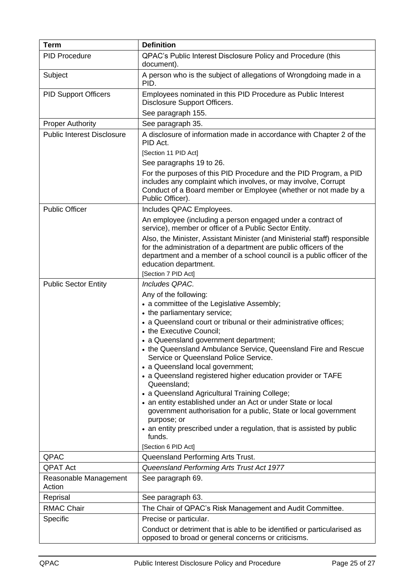| <b>Term</b>                       | <b>Definition</b>                                                                                                                                                                                                                                                         |
|-----------------------------------|---------------------------------------------------------------------------------------------------------------------------------------------------------------------------------------------------------------------------------------------------------------------------|
| <b>PID Procedure</b>              | QPAC's Public Interest Disclosure Policy and Procedure (this<br>document).                                                                                                                                                                                                |
| Subject                           | A person who is the subject of allegations of Wrongdoing made in a<br>PID.                                                                                                                                                                                                |
| <b>PID Support Officers</b>       | Employees nominated in this PID Procedure as Public Interest<br>Disclosure Support Officers.                                                                                                                                                                              |
|                                   | See paragraph 155.                                                                                                                                                                                                                                                        |
| <b>Proper Authority</b>           | See paragraph 35.                                                                                                                                                                                                                                                         |
| <b>Public Interest Disclosure</b> | A disclosure of information made in accordance with Chapter 2 of the<br>PID Act.                                                                                                                                                                                          |
|                                   | [Section 11 PID Act]                                                                                                                                                                                                                                                      |
|                                   | See paragraphs 19 to 26.                                                                                                                                                                                                                                                  |
|                                   | For the purposes of this PID Procedure and the PID Program, a PID<br>includes any complaint which involves, or may involve, Corrupt<br>Conduct of a Board member or Employee (whether or not made by a<br>Public Officer).                                                |
| <b>Public Officer</b>             | Includes QPAC Employees.                                                                                                                                                                                                                                                  |
|                                   | An employee (including a person engaged under a contract of<br>service), member or officer of a Public Sector Entity.                                                                                                                                                     |
|                                   | Also, the Minister, Assistant Minister (and Ministerial staff) responsible<br>for the administration of a department are public officers of the<br>department and a member of a school council is a public officer of the<br>education department.<br>[Section 7 PID Act] |
| <b>Public Sector Entity</b>       | Includes QPAC.                                                                                                                                                                                                                                                            |
|                                   | Any of the following:                                                                                                                                                                                                                                                     |
|                                   | • a committee of the Legislative Assembly;                                                                                                                                                                                                                                |
|                                   | • the parliamentary service;                                                                                                                                                                                                                                              |
|                                   | • a Queensland court or tribunal or their administrative offices;                                                                                                                                                                                                         |
|                                   | • the Executive Council;<br>• a Queensland government department;                                                                                                                                                                                                         |
|                                   | • the Queensland Ambulance Service. Queensland Fire and Rescue<br>Service or Queensland Police Service.                                                                                                                                                                   |
|                                   | • a Queensland local government;                                                                                                                                                                                                                                          |
|                                   | • a Queensland registered higher education provider or TAFE<br>Queensland;                                                                                                                                                                                                |
|                                   | • a Queensland Agricultural Training College;                                                                                                                                                                                                                             |
|                                   | • an entity established under an Act or under State or local<br>government authorisation for a public, State or local government<br>purpose; or                                                                                                                           |
|                                   | • an entity prescribed under a regulation, that is assisted by public<br>funds.                                                                                                                                                                                           |
|                                   | [Section 6 PID Act]                                                                                                                                                                                                                                                       |
| QPAC                              | Queensland Performing Arts Trust.                                                                                                                                                                                                                                         |
| <b>QPAT Act</b>                   | Queensland Performing Arts Trust Act 1977                                                                                                                                                                                                                                 |
| Reasonable Management<br>Action   | See paragraph 69.                                                                                                                                                                                                                                                         |
| Reprisal                          | See paragraph 63.                                                                                                                                                                                                                                                         |
| <b>RMAC Chair</b>                 | The Chair of QPAC's Risk Management and Audit Committee.                                                                                                                                                                                                                  |
| Specific                          | Precise or particular.                                                                                                                                                                                                                                                    |
|                                   | Conduct or detriment that is able to be identified or particularised as<br>opposed to broad or general concerns or criticisms.                                                                                                                                            |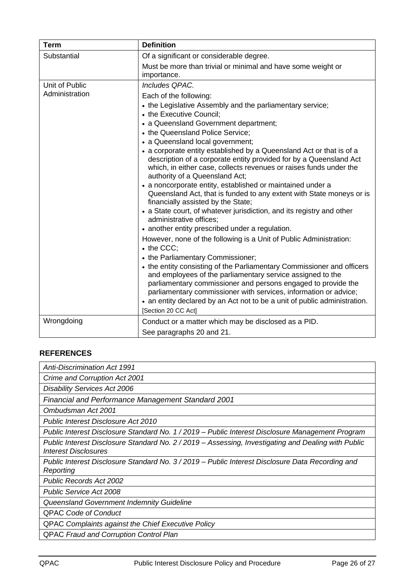| <b>Term</b>                      | <b>Definition</b>                                                                                                                                                                                                                                                                                                                                                                                                                                                                                                                                                                                                                                                                                                                                                                                                                                                                                                                                                                                                                                                                                                                                                             |
|----------------------------------|-------------------------------------------------------------------------------------------------------------------------------------------------------------------------------------------------------------------------------------------------------------------------------------------------------------------------------------------------------------------------------------------------------------------------------------------------------------------------------------------------------------------------------------------------------------------------------------------------------------------------------------------------------------------------------------------------------------------------------------------------------------------------------------------------------------------------------------------------------------------------------------------------------------------------------------------------------------------------------------------------------------------------------------------------------------------------------------------------------------------------------------------------------------------------------|
| Substantial                      | Of a significant or considerable degree.                                                                                                                                                                                                                                                                                                                                                                                                                                                                                                                                                                                                                                                                                                                                                                                                                                                                                                                                                                                                                                                                                                                                      |
|                                  | Must be more than trivial or minimal and have some weight or<br>importance.                                                                                                                                                                                                                                                                                                                                                                                                                                                                                                                                                                                                                                                                                                                                                                                                                                                                                                                                                                                                                                                                                                   |
| Unit of Public<br>Administration | Includes QPAC.<br>Each of the following:<br>• the Legislative Assembly and the parliamentary service;<br>• the Executive Council;<br>• a Queensland Government department;<br>• the Queensland Police Service;<br>• a Queensland local government;<br>• a corporate entity established by a Queensland Act or that is of a<br>description of a corporate entity provided for by a Queensland Act<br>which, in either case, collects revenues or raises funds under the<br>authority of a Queensland Act;<br>• a noncorporate entity, established or maintained under a<br>Queensland Act, that is funded to any extent with State moneys or is<br>financially assisted by the State;<br>• a State court, of whatever jurisdiction, and its registry and other<br>administrative offices:<br>• another entity prescribed under a regulation.<br>However, none of the following is a Unit of Public Administration:<br>• the CCC:<br>• the Parliamentary Commissioner;<br>• the entity consisting of the Parliamentary Commissioner and officers<br>and employees of the parliamentary service assigned to the<br>parliamentary commissioner and persons engaged to provide the |
|                                  | parliamentary commissioner with services, information or advice;<br>• an entity declared by an Act not to be a unit of public administration.<br>[Section 20 CC Act]                                                                                                                                                                                                                                                                                                                                                                                                                                                                                                                                                                                                                                                                                                                                                                                                                                                                                                                                                                                                          |
| Wrongdoing                       | Conduct or a matter which may be disclosed as a PID.                                                                                                                                                                                                                                                                                                                                                                                                                                                                                                                                                                                                                                                                                                                                                                                                                                                                                                                                                                                                                                                                                                                          |
|                                  | See paragraphs 20 and 21.                                                                                                                                                                                                                                                                                                                                                                                                                                                                                                                                                                                                                                                                                                                                                                                                                                                                                                                                                                                                                                                                                                                                                     |

# <span id="page-25-0"></span>**REFERENCES**

*Anti-Discrimination Act 1991 Crime and Corruption Act 2001 Disability Services Act 2006 Financial and Performance Management Standard 2001 Ombudsman Act 2001 Public Interest Disclosure Act 2010 Public Interest Disclosure Standard No. 1 / 2019 – Public Interest Disclosure Management Program Public Interest Disclosure Standard No. 2 / 2019 – Assessing, Investigating and Dealing with Public Interest Disclosures Public Interest Disclosure Standard No. 3 / 2019 – Public Interest Disclosure Data Recording and Reporting Public Records Act 2002 Public Service Act 2008 Queensland Government Indemnity Guideline* QPAC *Code of Conduct* QPAC *Complaints against the Chief Executive Policy* QPAC *Fraud and Corruption Control Plan*